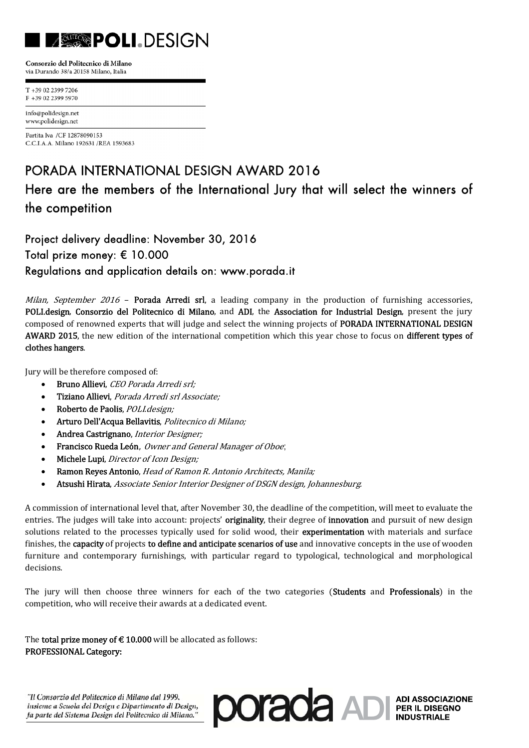# $\mathcal{L}(\mathcal{L})$

Consorzio del Politecnico di Milano via Durando 38/a 20158 Milano, Italia

T +39 02 2399 7206  $F + 390223995970$ 

info@polidesign.net www.polidesign.net

Partita Iva / CF 12878090153 C.C.I.A.A. Milano 192631 /REA 1593683

### PORADA INTERNATIONAL DESIGN AWARD 2016

## Here are the members of the International Jury that will select the winners of the competition

Project delivery deadline: November 30, 2016 Total prize money: € 10.000 Regulations and application details on: www.porada.it

*Milan, September 2016* – **Porada Arredi srl**, a leading company in the production of furnishing accessories, POLI.design, Consorzio del Politecnico di Milano, and ADI, the Association for Industrial Design, present the jury composed of renowned experts that will judge and select the winning projects of PORADA INTERNATIONAL DESIGN AWARD 2015, the new edition of the international competition which this year chose to focus on different types of clothes hangers.

Jury will be therefore composed of:

- Bruno Allievi, CEO Porada Arredi srl;
- Tiziano Allievi, Porada Arredi srl Associate:
- Roberto de Paolis, POLI.design:
- Arturo Dell'Acqua Bellavitis, Politecnico di Milano;
- Andrea Castrignano, Interior Designer;
- Francisco Rueda León, Owner and General Manager of Oboe;
- Michele Lupi, Director of Icon Design;
- Ramon Reyes Antonio, Head of Ramon R. Antonio Architects, Manila;
- Atsushi Hirata, *Associate Senior Interior Designer of DSGN design, Johannesburg.*

A commission of international level that, after November 30, the deadline of the competition, will meet to evaluate the entries. The judges will take into account: projects' originality, their degree of innovation and pursuit of new design solutions related to the processes typically used for solid wood, their experimentation with materials and surface finishes, the **capacity** of projects **to define and anticipate scenarios of use** and innovative concepts in the use of wooden furniture and contemporary furnishings, with particular regard to typological, technological and morphological decisions. 

The jury will then choose three winners for each of the two categories (Students and Professionals) in the competition, who will receive their awards at a dedicated event.

The **total prize money of**  $\epsilon$  **10.000** will be allocated as follows: PROFESSIONAL Category:

"Il Consorzio del Politecnico di Milano dal 1999,<br>insieme a Scuola del Design e Dipartimento di Design,<br>fa parte del Sistema Design del Politecnico di Milano." **DOCECCC** AD RER IL DISEGNO "Il Consorzio del Politecnico di Milano dal 1999, insieme a Scuola del Design e Dipartimento di Design,